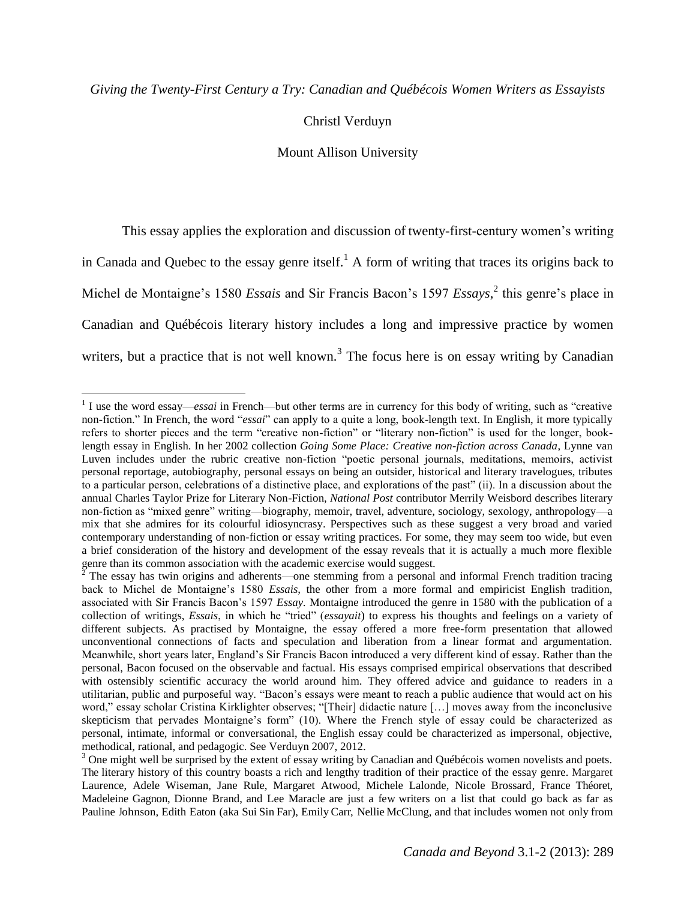Mount Allison University

This essay applies the exploration and discussion of twenty-first-century women's writing in Canada and Quebec to the essay genre itself.<sup>1</sup> A form of writing that traces its origins back to Michel de Montaigne's 1580 *Essais* and Sir Francis Bacon's 1597 *Essays*, 2 this genre's place in Canadian and Québécois literary history includes a long and impressive practice by women writers, but a practice that is not well known.<sup>3</sup> The focus here is on essay writing by Canadian

 $\overline{a}$ 

<sup>&</sup>lt;sup>1</sup> I use the word essay—*essai* in French—but other terms are in currency for this body of writing, such as "creative non-fiction." In French, the word "*essai*" can apply to a quite a long, book-length text. In English, it more typically refers to shorter pieces and the term "creative non-fiction" or "literary non-fiction" is used for the longer, booklength essay in English. In her 2002 collection *Going Some Place: Creative non-fiction across Canada*, Lynne van Luven includes under the rubric creative non-fiction "poetic personal journals, meditations, memoirs, activist personal reportage, autobiography, personal essays on being an outsider, historical and literary travelogues, tributes to a particular person, celebrations of a distinctive place, and explorations of the past" (ii). In a discussion about the annual Charles Taylor Prize for Literary Non-Fiction, *National Post* contributor Merrily Weisbord describes literary non-fiction as "mixed genre" writing—biography, memoir, travel, adventure, sociology, sexology, anthropology—a mix that she admires for its colourful idiosyncrasy. Perspectives such as these suggest a very broad and varied contemporary understanding of non-fiction or essay writing practices. For some, they may seem too wide, but even a brief consideration of the history and development of the essay reveals that it is actually a much more flexible genre than its common association with the academic exercise would suggest.

 $^2$  The essay has twin origins and adherents—one stemming from a personal and informal French tradition tracing back to Michel de Montaigne's 1580 *Essais,* the other from a more formal and empiricist English tradition, associated with Sir Francis Bacon's 1597 *Essay.* Montaigne introduced the genre in 1580 with the publication of a collection of writings, *Essais*, in which he "tried" (*essayait*) to express his thoughts and feelings on a variety of different subjects. As practised by Montaigne, the essay offered a more free-form presentation that allowed unconventional connections of facts and speculation and liberation from a linear format and argumentation. Meanwhile, short years later, England's Sir Francis Bacon introduced a very different kind of essay. Rather than the personal, Bacon focused on the observable and factual. His essays comprised empirical observations that described with ostensibly scientific accuracy the world around him. They offered advice and guidance to readers in a utilitarian, public and purposeful way. "Bacon's essays were meant to reach a public audience that would act on his word," essay scholar Cristina Kirklighter observes; "[Their] didactic nature [...] moves away from the inconclusive skepticism that pervades Montaigne's form" (10). Where the French style of essay could be characterized as personal, intimate, informal or conversational, the English essay could be characterized as impersonal, objective, methodical, rational, and pedagogic. See Verduyn 2007, 2012.

<sup>&</sup>lt;sup>3</sup> One might well be surprised by the extent of essay writing by Canadian and Québécois women novelists and poets. The literary history of this country boasts a rich and lengthy tradition of their practice of the essay genre. Margaret Laurence, Adele Wiseman, Jane Rule, Margaret Atwood, Michele Lalonde, Nicole Brossard, France Théoret, Madeleine Gagnon, Dionne Brand, and Lee Maracle are just a few writers on a list that could go back as far as Pauline Johnson, Edith Eaton (aka Sui Sin Far), Emily Carr, Nellie McClung, and that includes women not only from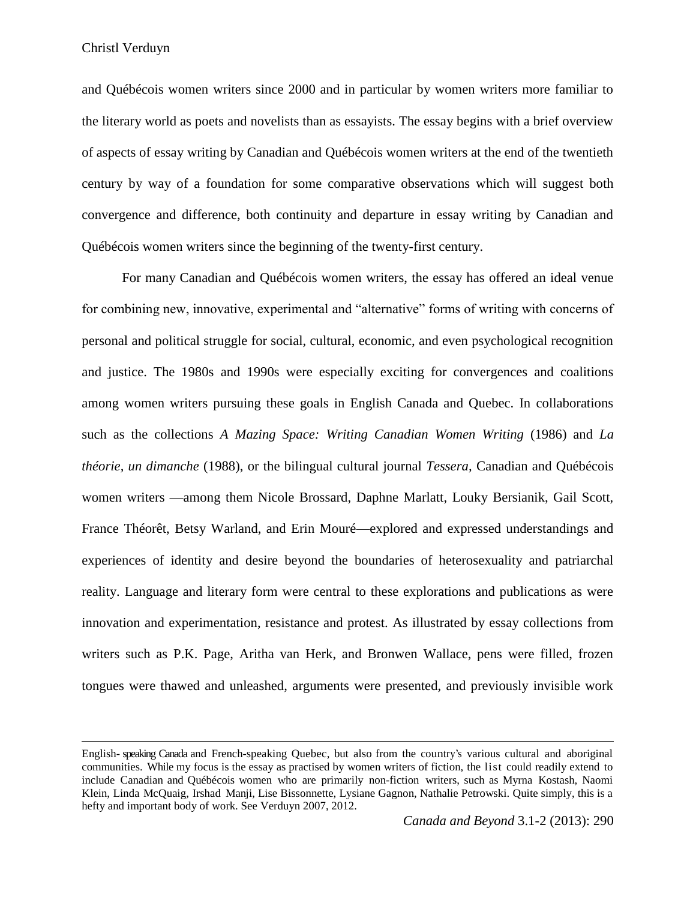$\overline{a}$ 

and Québécois women writers since 2000 and in particular by women writers more familiar to the literary world as poets and novelists than as essayists. The essay begins with a brief overview of aspects of essay writing by Canadian and Québécois women writers at the end of the twentieth century by way of a foundation for some comparative observations which will suggest both convergence and difference, both continuity and departure in essay writing by Canadian and Québécois women writers since the beginning of the twenty-first century.

For many Canadian and Québécois women writers, the essay has offered an ideal venue for combining new, innovative, experimental and "alternative" forms of writing with concerns of personal and political struggle for social, cultural, economic, and even psychological recognition and justice. The 1980s and 1990s were especially exciting for convergences and coalitions among women writers pursuing these goals in English Canada and Quebec. In collaborations such as the collections *A Mazing Space: Writing Canadian Women Writing* (1986) and *La théorie, un dimanche* (1988), or the bilingual cultural journal *Tessera,* Canadian and Québécois women writers —among them Nicole Brossard, Daphne Marlatt, Louky Bersianik, Gail Scott, France Théorêt, Betsy Warland, and Erin Mouré—explored and expressed understandings and experiences of identity and desire beyond the boundaries of heterosexuality and patriarchal reality. Language and literary form were central to these explorations and publications as were innovation and experimentation, resistance and protest. As illustrated by essay collections from writers such as P.K. Page, Aritha van Herk, and Bronwen Wallace, pens were filled, frozen tongues were thawed and unleashed, arguments were presented, and previously invisible work

English- speaking Canada and French-speaking Quebec, but also from the country's various cultural and aboriginal communities. While my focus is the essay as practised by women writers of fiction, the list could readily extend to include Canadian and Québécois women who are primarily non-fiction writers, such as Myrna Kostash, Naomi Klein, Linda McQuaig, Irshad Manji, Lise Bissonnette, Lysiane Gagnon, Nathalie Petrowski. Quite simply, this is a hefty and important body of work. See Verduyn 2007, 2012.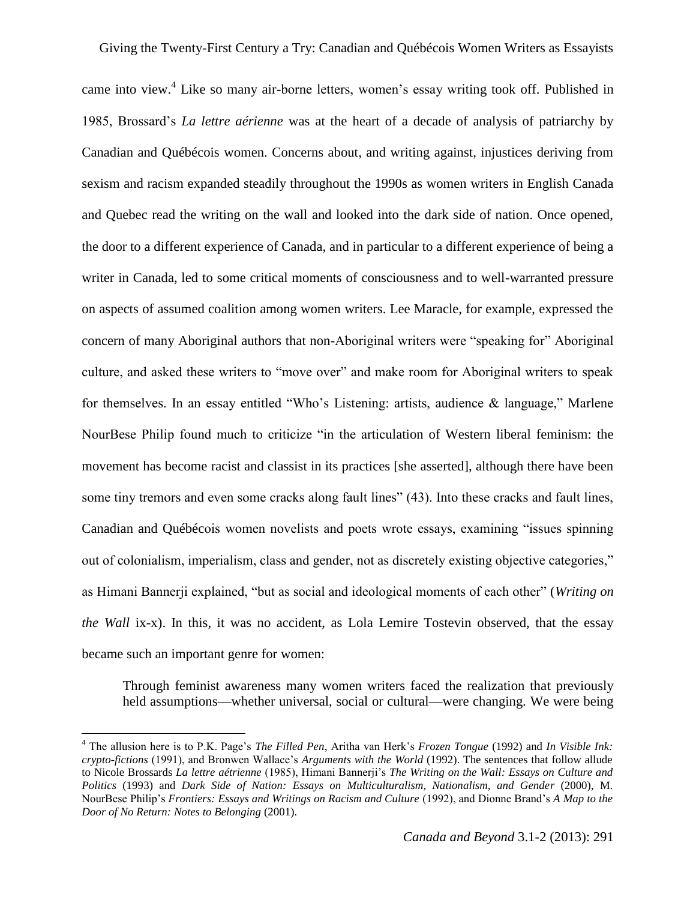came into view.<sup>4</sup> Like so many air-borne letters, women's essay writing took off. Published in 1985, Brossard's *La lettre aérienne* was at the heart of a decade of analysis of patriarchy by Canadian and Québécois women. Concerns about, and writing against, injustices deriving from sexism and racism expanded steadily throughout the 1990s as women writers in English Canada and Quebec read the writing on the wall and looked into the dark side of nation. Once opened, the door to a different experience of Canada, and in particular to a different experience of being a writer in Canada, led to some critical moments of consciousness and to well-warranted pressure on aspects of assumed coalition among women writers. Lee Maracle, for example, expressed the concern of many Aboriginal authors that non-Aboriginal writers were "speaking for" Aboriginal culture, and asked these writers to "move over" and make room for Aboriginal writers to speak for themselves. In an essay entitled "Who's Listening: artists, audience & language," Marlene NourBese Philip found much to criticize "in the articulation of Western liberal feminism: the movement has become racist and classist in its practices [she asserted], although there have been some tiny tremors and even some cracks along fault lines" (43). Into these cracks and fault lines, Canadian and Québécois women novelists and poets wrote essays, examining "issues spinning out of colonialism, imperialism, class and gender, not as discretely existing objective categories," as Himani Bannerji explained, "but as social and ideological moments of each other" (*Writing on the Wall* ix-x). In this, it was no accident, as Lola Lemire Tostevin observed, that the essay became such an important genre for women:

Through feminist awareness many women writers faced the realization that previously held assumptions—whether universal, social or cultural—were changing. We were being

l

<sup>4</sup> The allusion here is to P.K. Page's *The Filled Pen*, Aritha van Herk's *Frozen Tongue* (1992) and *In Visible Ink: crypto-fictions* (1991), and Bronwen Wallace's *Arguments with the World* (1992). The sentences that follow allude to Nicole Brossards *La lettre aétrienne* (1985), Himani Bannerji's *The Writing on the Wall: Essays on Culture and Politics* (1993) and *Dark Side of Nation: Essays on Multiculturalism, Nationalism, and Gender* (2000), M. NourBese Philip's *Frontiers: Essays and Writings on Racism and Culture* (1992), and Dionne Brand's *A Map to the Door of No Return: Notes to Belonging* (2001).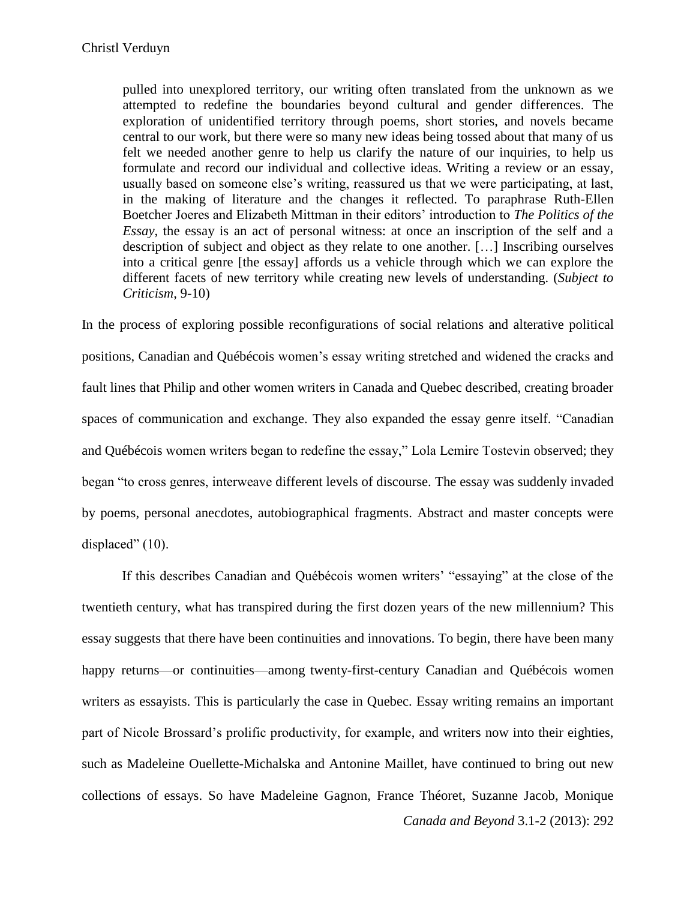pulled into unexplored territory, our writing often translated from the unknown as we attempted to redefine the boundaries beyond cultural and gender differences. The exploration of unidentified territory through poems, short stories, and novels became central to our work, but there were so many new ideas being tossed about that many of us felt we needed another genre to help us clarify the nature of our inquiries, to help us formulate and record our individual and collective ideas. Writing a review or an essay, usually based on someone else's writing, reassured us that we were participating, at last, in the making of literature and the changes it reflected. To paraphrase Ruth-Ellen Boetcher Joeres and Elizabeth Mittman in their editors' introduction to *The Politics of the Essay*, the essay is an act of personal witness: at once an inscription of the self and a description of subject and object as they relate to one another. […] Inscribing ourselves into a critical genre [the essay] affords us a vehicle through which we can explore the different facets of new territory while creating new levels of understanding. (*Subject to Criticism*, 9-10)

In the process of exploring possible reconfigurations of social relations and alterative political positions, Canadian and Québécois women's essay writing stretched and widened the cracks and fault lines that Philip and other women writers in Canada and Quebec described, creating broader spaces of communication and exchange. They also expanded the essay genre itself. "Canadian and Québécois women writers began to redefine the essay," Lola Lemire Tostevin observed; they began "to cross genres, interweave different levels of discourse. The essay was suddenly invaded by poems, personal anecdotes, autobiographical fragments. Abstract and master concepts were displaced" (10).

*Canada and Beyond* 3.1-2 (2013): 292 If this describes Canadian and Québécois women writers' "essaying" at the close of the twentieth century, what has transpired during the first dozen years of the new millennium? This essay suggests that there have been continuities and innovations. To begin, there have been many happy returns—or continuities—among twenty-first-century Canadian and Québécois women writers as essayists. This is particularly the case in Quebec. Essay writing remains an important part of Nicole Brossard's prolific productivity, for example, and writers now into their eighties, such as Madeleine Ouellette-Michalska and Antonine Maillet, have continued to bring out new collections of essays. So have Madeleine Gagnon, France Théoret, Suzanne Jacob, Monique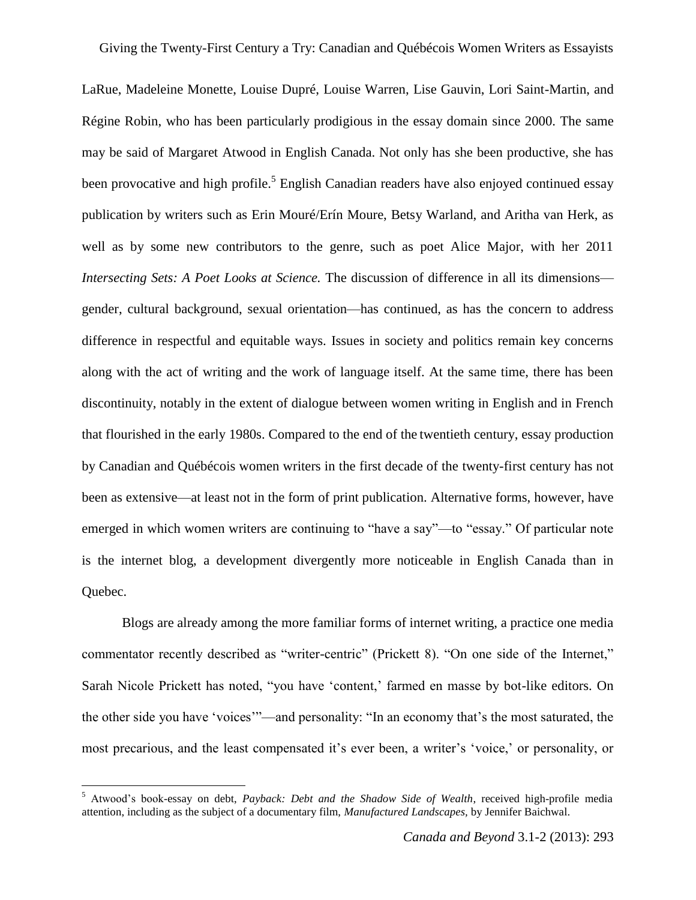LaRue, Madeleine Monette, Louise Dupré, Louise Warren, Lise Gauvin, Lori Saint-Martin, and Régine Robin, who has been particularly prodigious in the essay domain since 2000. The same may be said of Margaret Atwood in English Canada. Not only has she been productive, she has been provocative and high profile.<sup>5</sup> English Canadian readers have also enjoyed continued essay publication by writers such as Erin Mouré/Erín Moure, Betsy Warland, and Aritha van Herk, as well as by some new contributors to the genre, such as poet Alice Major, with her 2011 *Intersecting Sets: A Poet Looks at Science.* The discussion of difference in all its dimensions gender, cultural background, sexual orientation—has continued, as has the concern to address difference in respectful and equitable ways. Issues in society and politics remain key concerns along with the act of writing and the work of language itself. At the same time, there has been discontinuity, notably in the extent of dialogue between women writing in English and in French that flourished in the early 1980s. Compared to the end of the twentieth century, essay production by Canadian and Québécois women writers in the first decade of the twenty-first century has not been as extensive—at least not in the form of print publication. Alternative forms, however, have emerged in which women writers are continuing to "have a say"—to "essay." Of particular note is the internet blog, a development divergently more noticeable in English Canada than in Quebec.

Blogs are already among the more familiar forms of internet writing, a practice one media commentator recently described as "writer-centric" (Prickett 8). "On one side of the Internet," Sarah Nicole Prickett has noted, "you have 'content,' farmed en masse by bot-like editors. On the other side you have 'voices'"—and personality: "In an economy that's the most saturated, the most precarious, and the least compensated it's ever been, a writer's 'voice,' or personality, or

 $\overline{\phantom{a}}$ 

<sup>5</sup> Atwood's book-essay on debt, *Payback: Debt and the Shadow Side of Wealth*, received high-profile media attention, including as the subject of a documentary film, *Manufactured Landscapes,* by Jennifer Baichwal.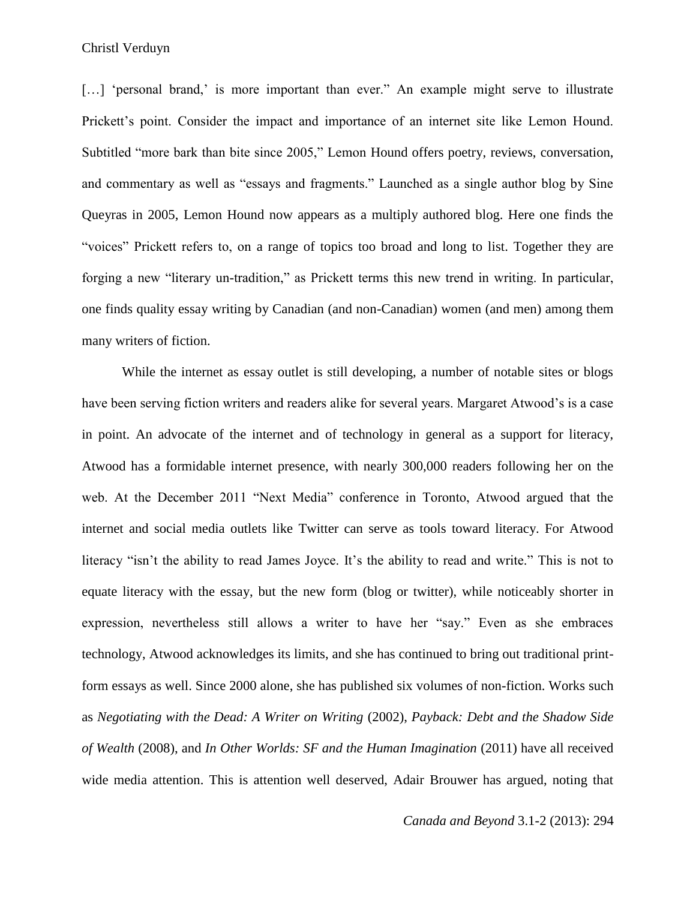[...] 'personal brand,' is more important than ever." An example might serve to illustrate Prickett's point. Consider the impact and importance of an internet site like Lemon Hound. Subtitled "more bark than bite since 2005," Lemon Hound offers poetry, reviews, conversation, and commentary as well as "essays and fragments." Launched as a single author blog by Sine Queyras in 2005, Lemon Hound now appears as a multiply authored blog. Here one finds the "voices" Prickett refers to, on a range of topics too broad and long to list. Together they are forging a new "literary un-tradition," as Prickett terms this new trend in writing. In particular, one finds quality essay writing by Canadian (and non-Canadian) women (and men) among them many writers of fiction.

While the internet as essay outlet is still developing, a number of notable sites or blogs have been serving fiction writers and readers alike for several years. Margaret Atwood's is a case in point. An advocate of the internet and of technology in general as a support for literacy, Atwood has a formidable internet presence, with nearly 300,000 readers following her on the web. At the December 2011 "Next Media" conference in Toronto, Atwood argued that the internet and social media outlets like Twitter can serve as tools toward literacy. For Atwood literacy "isn't the ability to read James Joyce. It's the ability to read and write." This is not to equate literacy with the essay, but the new form (blog or twitter), while noticeably shorter in expression, nevertheless still allows a writer to have her "say." Even as she embraces technology, Atwood acknowledges its limits, and she has continued to bring out traditional printform essays as well. Since 2000 alone, she has published six volumes of non-fiction. Works such as *Negotiating with the Dead: A Writer on Writing* (2002), *Payback: Debt and the Shadow Side of Wealth* (2008), and *In Other Worlds: SF and the Human Imagination* (2011) have all received wide media attention. This is attention well deserved, Adair Brouwer has argued, noting that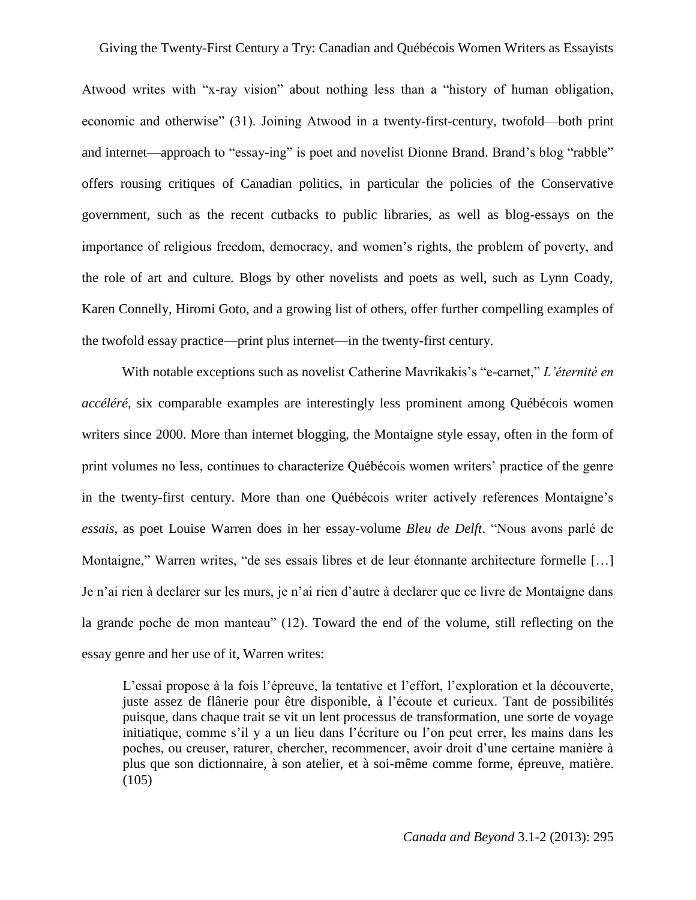Atwood writes with "x-ray vision" about nothing less than a "history of human obligation, economic and otherwise" (31). Joining Atwood in a twenty-first-century, twofold—both print and internet—approach to "essay-ing" is poet and novelist Dionne Brand. Brand's blog "rabble" offers rousing critiques of Canadian politics, in particular the policies of the Conservative government, such as the recent cutbacks to public libraries, as well as blog-essays on the importance of religious freedom, democracy, and women's rights, the problem of poverty, and the role of art and culture. Blogs by other novelists and poets as well, such as Lynn Coady, Karen Connelly, Hiromi Goto, and a growing list of others, offer further compelling examples of the twofold essay practice—print plus internet—in the twenty-first century.

With notable exceptions such as novelist Catherine Mavrikakis's "e-carnet," *L'éternité en accéléré,* six comparable examples are interestingly less prominent among Québécois women writers since 2000. More than internet blogging, the Montaigne style essay, often in the form of print volumes no less, continues to characterize Québécois women writers' practice of the genre in the twenty-first century. More than one Québécois writer actively references Montaigne's *essais*, as poet Louise Warren does in her essay-volume *Bleu de Delft*. "Nous avons parlé de Montaigne," Warren writes, "de ses essais libres et de leur étonnante architecture formelle […] Je n'ai rien à declarer sur les murs, je n'ai rien d'autre à declarer que ce livre de Montaigne dans la grande poche de mon manteau" (12). Toward the end of the volume, still reflecting on the essay genre and her use of it, Warren writes:

L'essai propose à la fois l'épreuve, la tentative et l'effort, l'exploration et la découverte, juste assez de flânerie pour être disponible, à l'écoute et curieux. Tant de possibilités puisque, dans chaque trait se vit un lent processus de transformation, une sorte de voyage initiatique, comme s'il y a un lieu dans l'écriture ou l'on peut errer, les mains dans les poches, ou creuser, raturer, chercher, recommencer, avoir droit d'une certaine manière à plus que son dictionnaire, à son atelier, et à soi-même comme forme, épreuve, matière.  $(105)$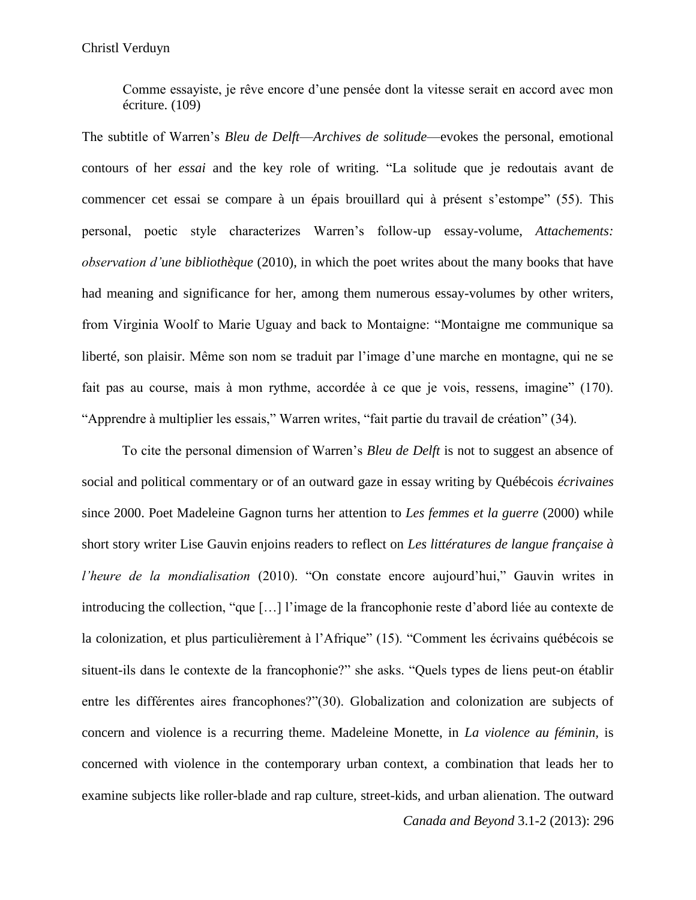Comme essayiste, je rêve encore d'une pensée dont la vitesse serait en accord avec mon écriture. (109)

The subtitle of Warren's *Bleu de Delft*—*Archives de solitude*—evokes the personal, emotional contours of her *essai* and the key role of writing. "La solitude que je redoutais avant de commencer cet essai se compare à un épais brouillard qui à présent s'estompe" (55). This personal, poetic style characterizes Warren's follow-up essay-volume, *Attachements: observation d'une bibliothèque* (2010), in which the poet writes about the many books that have had meaning and significance for her, among them numerous essay-volumes by other writers, from Virginia Woolf to Marie Uguay and back to Montaigne: "Montaigne me communique sa liberté, son plaisir. Même son nom se traduit par l'image d'une marche en montagne, qui ne se fait pas au course, mais à mon rythme, accordée à ce que je vois, ressens, imagine" (170). "Apprendre à multiplier les essais," Warren writes, "fait partie du travail de création" (34).

*Canada and Beyond* 3.1-2 (2013): 296 To cite the personal dimension of Warren's *Bleu de Delft* is not to suggest an absence of social and political commentary or of an outward gaze in essay writing by Québécois *écrivaines*  since 2000. Poet Madeleine Gagnon turns her attention to *Les femmes et la guerre* (2000) while short story writer Lise Gauvin enjoins readers to reflect on *Les littératures de langue française à l'heure de la mondialisation* (2010). "On constate encore aujourd'hui," Gauvin writes in introducing the collection, "que […] l'image de la francophonie reste d'abord liée au contexte de la colonization, et plus particulièrement à l'Afrique" (15). "Comment les écrivains québécois se situent-ils dans le contexte de la francophonie?" she asks. "Quels types de liens peut-on établir entre les différentes aires francophones?"(30). Globalization and colonization are subjects of concern and violence is a recurring theme. Madeleine Monette, in *La violence au féminin,* is concerned with violence in the contemporary urban context, a combination that leads her to examine subjects like roller-blade and rap culture, street-kids, and urban alienation. The outward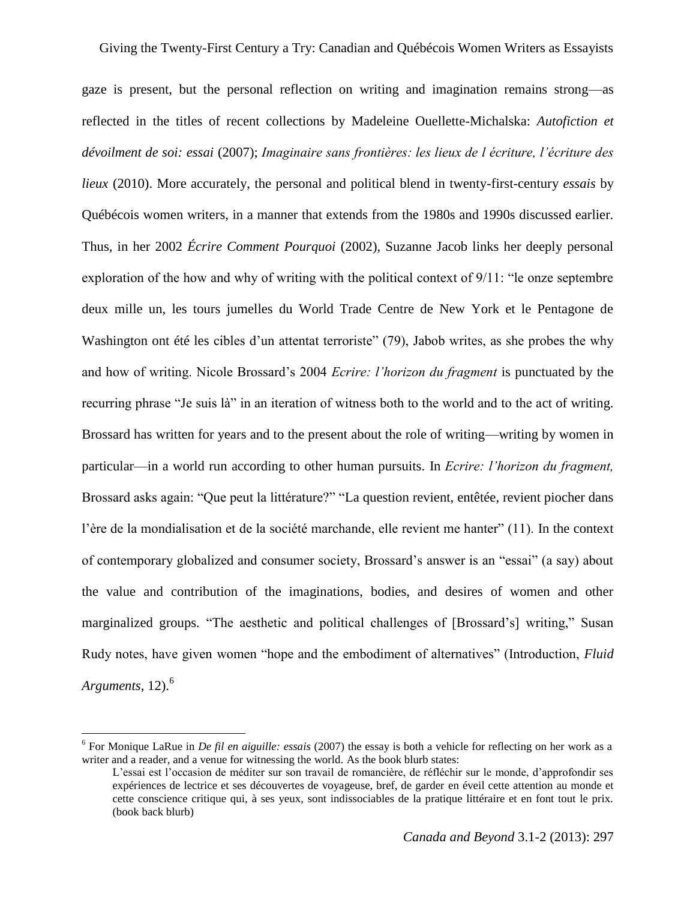gaze is present, but the personal reflection on writing and imagination remains strong—as reflected in the titles of recent collections by Madeleine Ouellette-Michalska: *Autofiction et dévoilment de soi: essai* (2007); *Imaginaire sans frontières: les lieux de l écriture, l'écriture des lieux* (2010). More accurately, the personal and political blend in twenty-first-century *essais* by Québécois women writers, in a manner that extends from the 1980s and 1990s discussed earlier. Thus, in her 2002 *Écrire Comment Pourquoi* (2002), Suzanne Jacob links her deeply personal exploration of the how and why of writing with the political context of 9/11: "le onze septembre deux mille un, les tours jumelles du World Trade Centre de New York et le Pentagone de Washington ont été les cibles d'un attentat terroriste" (79), Jabob writes, as she probes the why and how of writing. Nicole Brossard's 2004 *Ecrire: l'horizon du fragment* is punctuated by the recurring phrase "Je suis là" in an iteration of witness both to the world and to the act of writing. Brossard has written for years and to the present about the role of writing—writing by women in particular—in a world run according to other human pursuits. In *Ecrire: l'horizon du fragment,*  Brossard asks again: "Que peut la littérature?" "La question revient, entêtée, revient piocher dans l'ère de la mondialisation et de la société marchande, elle revient me hanter" (11). In the context of contemporary globalized and consumer society, Brossard's answer is an "essai" (a say) about the value and contribution of the imaginations, bodies, and desires of women and other marginalized groups. "The aesthetic and political challenges of [Brossard's] writing," Susan Rudy notes, have given women "hope and the embodiment of alternatives" (Introduction, *Fluid Arguments*, 12).<sup>6</sup>

l

<sup>6</sup> For Monique LaRue in *De fil en aiguille: essais* (2007) the essay is both a vehicle for reflecting on her work as a writer and a reader, and a venue for witnessing the world. As the book blurb states:

L'essai est l'occasion de méditer sur son travail de romancière, de réfléchir sur le monde, d'approfondir ses expériences de lectrice et ses découvertes de voyageuse, bref, de garder en éveil cette attention au monde et cette conscience critique qui, à ses yeux, sont indissociables de la pratique littéraire et en font tout le prix. (book back blurb)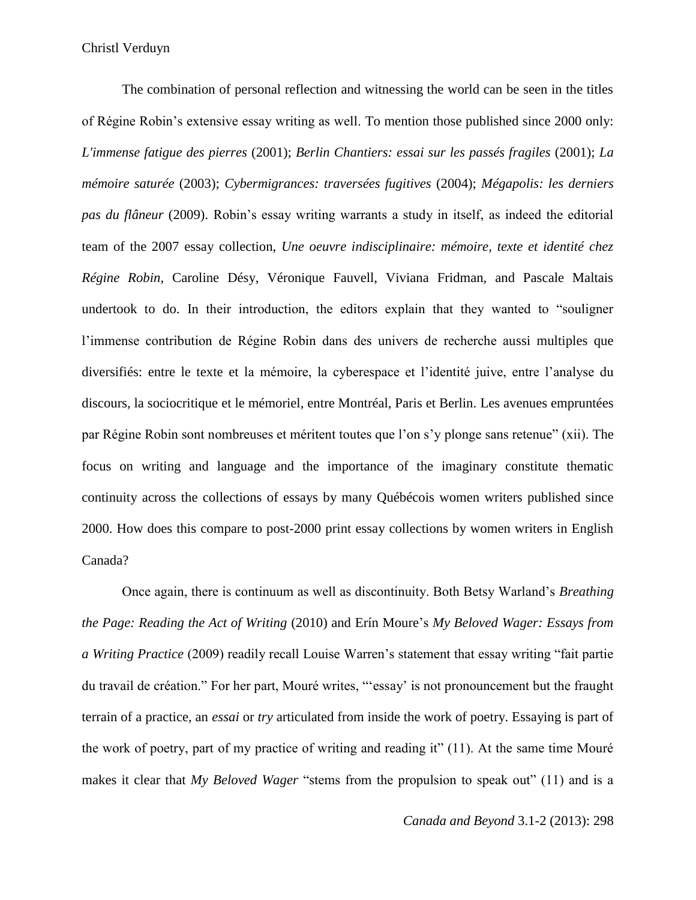The combination of personal reflection and witnessing the world can be seen in the titles of Régine Robin's extensive essay writing as well. To mention those published since 2000 only: *L'immense fatigue des pierres* (2001); *Berlin Chantiers: essai sur les passés fragiles* (2001); *La mémoire saturée* (2003); *Cybermigrances: traversées fugitives* (2004); *Mégapolis: les derniers pas du flâneur* (2009). Robin's essay writing warrants a study in itself, as indeed the editorial team of the 2007 essay collection, *Une oeuvre indisciplinaire: mémoire, texte et identité chez Régine Robin,* Caroline Désy, Véronique Fauvell, Viviana Fridman, and Pascale Maltais undertook to do. In their introduction, the editors explain that they wanted to "souligner l'immense contribution de Régine Robin dans des univers de recherche aussi multiples que diversifiés: entre le texte et la mémoire, la cyberespace et l'identité juive, entre l'analyse du discours, la sociocritique et le mémoriel, entre Montréal, Paris et Berlin. Les avenues empruntées par Régine Robin sont nombreuses et méritent toutes que l'on s'y plonge sans retenue" (xii). The focus on writing and language and the importance of the imaginary constitute thematic continuity across the collections of essays by many Québécois women writers published since 2000. How does this compare to post-2000 print essay collections by women writers in English Canada?

Once again, there is continuum as well as discontinuity. Both Betsy Warland's *Breathing the Page: Reading the Act of Writing* (2010) and Erín Moure's *My Beloved Wager: Essays from a Writing Practice* (2009) readily recall Louise Warren's statement that essay writing "fait partie du travail de création." For her part, Mouré writes, "'essay' is not pronouncement but the fraught terrain of a practice, an *essai* or *try* articulated from inside the work of poetry. Essaying is part of the work of poetry, part of my practice of writing and reading it" (11). At the same time Mouré makes it clear that *My Beloved Wager* "stems from the propulsion to speak out" (11) and is a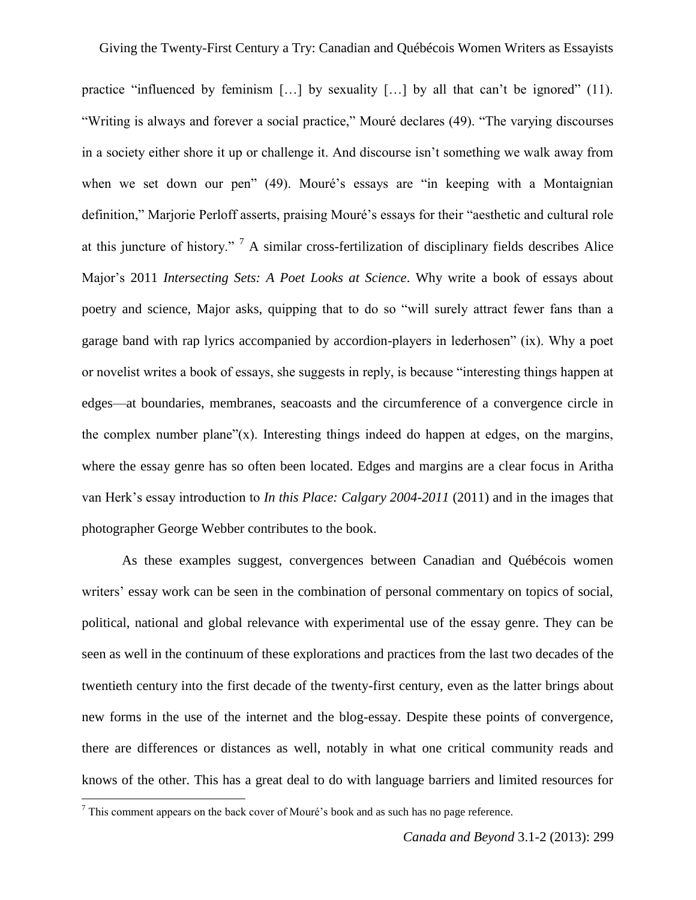practice "influenced by feminism […] by sexuality […] by all that can't be ignored" (11). "Writing is always and forever a social practice," Mouré declares (49). "The varying discourses in a society either shore it up or challenge it. And discourse isn't something we walk away from when we set down our pen" (49). Mouré's essays are "in keeping with a Montaignian definition," Marjorie Perloff asserts, praising Mouré's essays for their "aesthetic and cultural role at this juncture of history." <sup>7</sup> A similar cross-fertilization of disciplinary fields describes Alice Major's 2011 *Intersecting Sets: A Poet Looks at Science*. Why write a book of essays about poetry and science, Major asks, quipping that to do so "will surely attract fewer fans than a garage band with rap lyrics accompanied by accordion-players in lederhosen" (ix). Why a poet or novelist writes a book of essays, she suggests in reply, is because "interesting things happen at edges—at boundaries, membranes, seacoasts and the circumference of a convergence circle in the complex number plane" $(x)$ . Interesting things indeed do happen at edges, on the margins, where the essay genre has so often been located. Edges and margins are a clear focus in Aritha van Herk's essay introduction to *In this Place: Calgary 2004-2011* (2011) and in the images that photographer George Webber contributes to the book.

As these examples suggest, convergences between Canadian and Québécois women writers' essay work can be seen in the combination of personal commentary on topics of social, political, national and global relevance with experimental use of the essay genre. They can be seen as well in the continuum of these explorations and practices from the last two decades of the twentieth century into the first decade of the twenty-first century, even as the latter brings about new forms in the use of the internet and the blog-essay. Despite these points of convergence, there are differences or distances as well, notably in what one critical community reads and knows of the other. This has a great deal to do with language barriers and limited resources for

 $\overline{\phantom{a}}$ 

 $<sup>7</sup>$  This comment appears on the back cover of Mouré's book and as such has no page reference.</sup>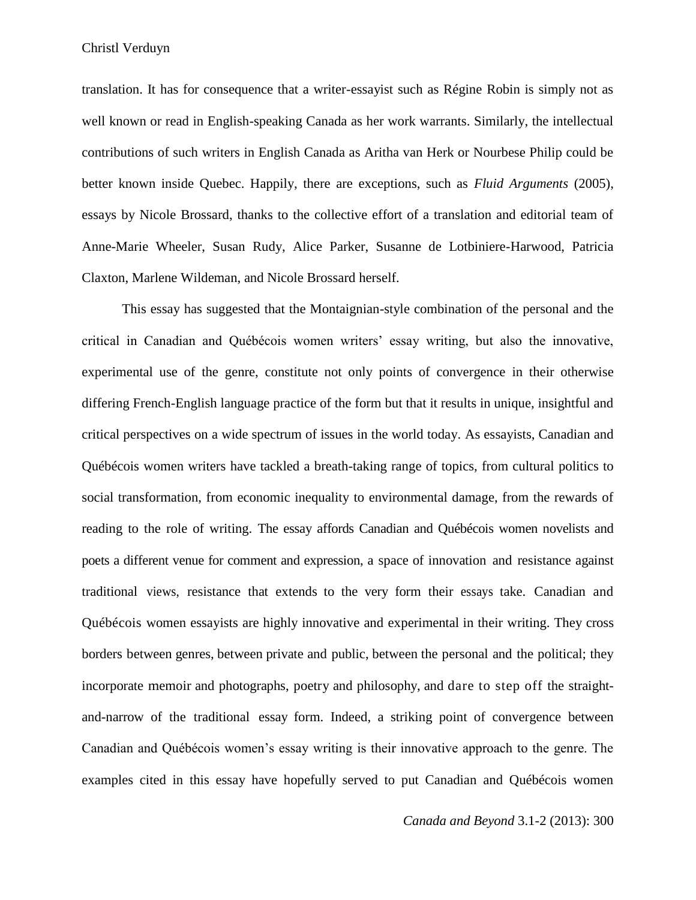translation. It has for consequence that a writer-essayist such as Régine Robin is simply not as well known or read in English-speaking Canada as her work warrants. Similarly, the intellectual contributions of such writers in English Canada as Aritha van Herk or Nourbese Philip could be better known inside Quebec. Happily, there are exceptions, such as *Fluid Arguments* (2005), essays by Nicole Brossard, thanks to the collective effort of a translation and editorial team of Anne-Marie Wheeler, Susan Rudy, Alice Parker, Susanne de Lotbiniere-Harwood, Patricia Claxton, Marlene Wildeman, and Nicole Brossard herself.

This essay has suggested that the Montaignian-style combination of the personal and the critical in Canadian and Québécois women writers' essay writing, but also the innovative, experimental use of the genre, constitute not only points of convergence in their otherwise differing French-English language practice of the form but that it results in unique, insightful and critical perspectives on a wide spectrum of issues in the world today. As essayists, Canadian and Québécois women writers have tackled a breath-taking range of topics, from cultural politics to social transformation, from economic inequality to environmental damage, from the rewards of reading to the role of writing. The essay affords Canadian and Québécois women novelists and poets a different venue for comment and expression, a space of innovation and resistance against traditional views, resistance that extends to the very form their essays take. Canadian and Québécois women essayists are highly innovative and experimental in their writing. They cross borders between genres, between private and public, between the personal and the political; they incorporate memoir and photographs, poetry and philosophy, and dare to step off the straightand-narrow of the traditional essay form. Indeed, a striking point of convergence between Canadian and Québécois women's essay writing is their innovative approach to the genre. The examples cited in this essay have hopefully served to put Canadian and Québécois women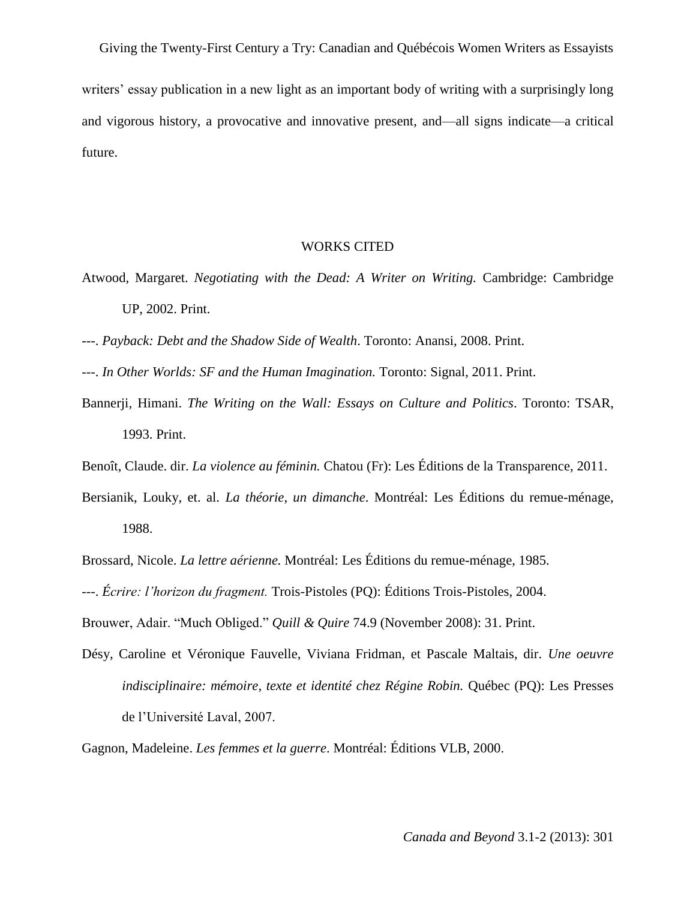Giving the Twenty-First Century a Try: Canadian and Québécois Women Writers as Essayists writers' essay publication in a new light as an important body of writing with a surprisingly long and vigorous history, a provocative and innovative present, and—all signs indicate—a critical future.

## WORKS CITED

- Atwood, Margaret. *Negotiating with the Dead: A Writer on Writing.* Cambridge: Cambridge UP, 2002. Print.
- ---. *Payback: Debt and the Shadow Side of Wealth*. Toronto: Anansi, 2008. Print.
- ---. *In Other Worlds: SF and the Human Imagination.* Toronto: Signal, 2011. Print.
- Bannerji, Himani. *The Writing on the Wall: Essays on Culture and Politics*. Toronto: TSAR, 1993. Print.
- Benoît, Claude. dir. *La violence au féminin.* Chatou (Fr): Les Éditions de la Transparence, 2011.
- Bersianik, Louky, et. al. *La théorie, un dimanche*. Montréal: Les Éditions du remue-ménage, 1988.
- Brossard, Nicole. *La lettre aérienne.* Montréal: Les Éditions du remue-ménage, 1985.
- ---. *Écrire: l'horizon du fragment.* Trois-Pistoles (PQ): Éditions Trois-Pistoles, 2004.
- Brouwer, Adair. "Much Obliged." *Quill & Quire* 74.9 (November 2008): 31. Print.
- Désy, Caroline et Véronique Fauvelle, Viviana Fridman, et Pascale Maltais, dir. *Une oeuvre indisciplinaire: mémoire, texte et identité chez Régine Robin.* Québec (PQ): Les Presses de l'Université Laval, 2007.

Gagnon, Madeleine. *Les femmes et la guerre*. Montréal: Éditions VLB, 2000.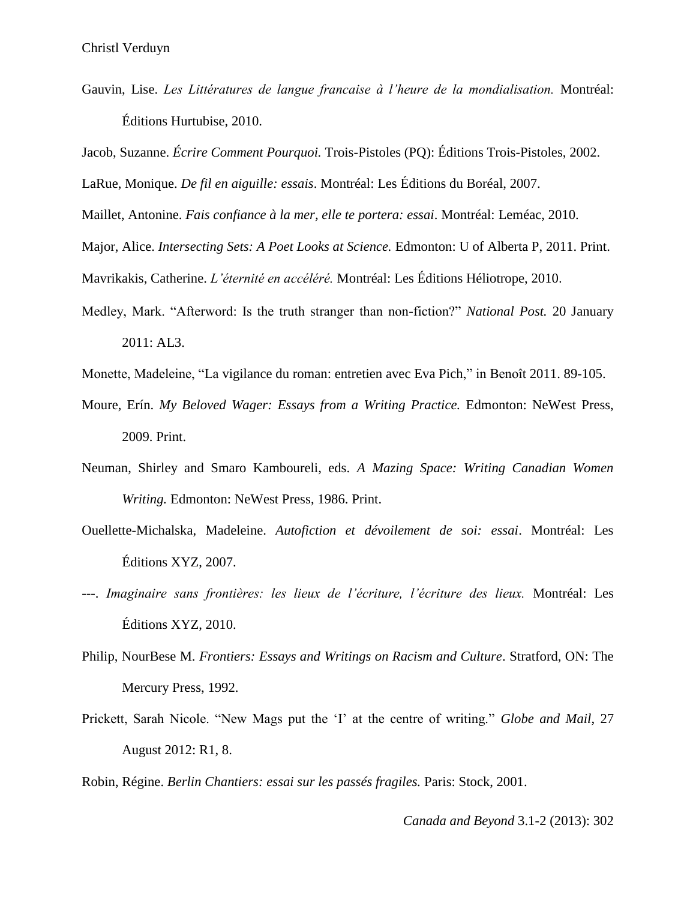Gauvin, Lise. *Les Littératures de langue francaise à l'heure de la mondialisation.* Montréal: Éditions Hurtubise, 2010.

Jacob, Suzanne. *Écrire Comment Pourquoi.* Trois-Pistoles (PQ): Éditions Trois-Pistoles, 2002.

LaRue, Monique. *De fil en aiguille: essais*. Montréal: Les Éditions du Boréal, 2007.

Maillet, Antonine. *Fais confiance à la mer, elle te portera: essai*. Montréal: Leméac, 2010.

Major, Alice. *Intersecting Sets: A Poet Looks at Science.* Edmonton: U of Alberta P, 2011. Print.

Mavrikakis, Catherine. *L'éternité en accéléré.* Montréal: Les Éditions Héliotrope, 2010.

Medley, Mark. "Afterword: Is the truth stranger than non-fiction?" *National Post.* 20 January 2011: AL3.

Monette, Madeleine, "La vigilance du roman: entretien avec Eva Pich," in Benoît 2011. 89-105.

- Moure, Erín. *My Beloved Wager: Essays from a Writing Practice.* Edmonton: NeWest Press, 2009. Print.
- Neuman, Shirley and Smaro Kamboureli, eds. *A Mazing Space: Writing Canadian Women Writing.* Edmonton: NeWest Press, 1986. Print.
- Ouellette-Michalska, Madeleine. *Autofiction et dévoilement de soi: essai*. Montréal: Les Éditions XYZ, 2007.
- ---. *Imaginaire sans frontières: les lieux de l'écriture, l'écriture des lieux.* Montréal: Les Éditions XYZ, 2010.
- Philip, NourBese M. *Frontiers: Essays and Writings on Racism and Culture*. Stratford, ON: The Mercury Press, 1992.
- Prickett, Sarah Nicole. "New Mags put the 'I' at the centre of writing." *Globe and Mail*, 27 August 2012: R1, 8.

Robin, Régine. *Berlin Chantiers: essai sur les passés fragiles.* Paris: Stock, 2001.